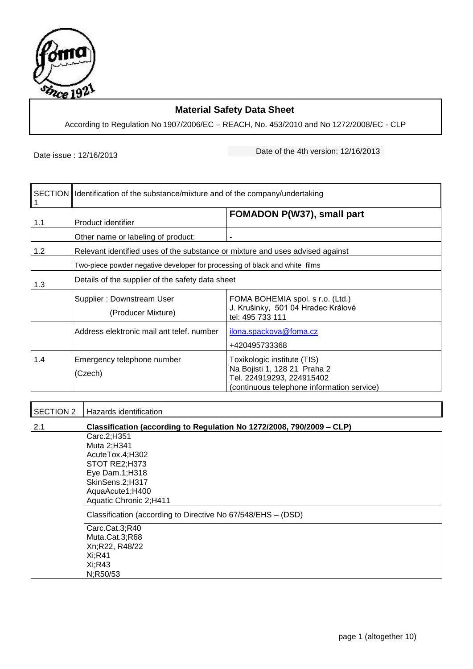

## **Material Safety Data Sheet**

According to Regulation No 1907/2006/EC – REACH, No. 453/2010 and No 1272/2008/EC - CLP

Date issue : 12/16/2013 Date of the 4th version: 12/16/2013

| 1   | SECTION   Identification of the substance/mixture and of the company/undertaking |                                                                                                                                        |  |
|-----|----------------------------------------------------------------------------------|----------------------------------------------------------------------------------------------------------------------------------------|--|
| 1.1 | Product identifier                                                               | FOMADON P(W37), small part                                                                                                             |  |
|     | Other name or labeling of product:                                               | ۰                                                                                                                                      |  |
| 1.2 | Relevant identified uses of the substance or mixture and uses advised against    |                                                                                                                                        |  |
|     | Two-piece powder negative developer for processing of black and white films      |                                                                                                                                        |  |
| 1.3 | Details of the supplier of the safety data sheet                                 |                                                                                                                                        |  |
|     | Supplier: Downstream User<br>(Producer Mixture)                                  | FOMA BOHEMIA spol. s r.o. (Ltd.)<br>J. Krušinky, 501 04 Hradec Králové<br>tel: 495 733 111                                             |  |
|     | Address elektronic mail ant telef, number                                        | ilona.spackova@foma.cz<br>+420495733368                                                                                                |  |
| 1.4 | Emergency telephone number<br>(Czech)                                            | Toxikologic institute (TIS)<br>Na Bojisti 1, 128 21 Praha 2<br>Tel. 224919293, 224915402<br>(continuous telephone information service) |  |

| SECTION 2 | Hazards identification                                                |  |  |
|-----------|-----------------------------------------------------------------------|--|--|
| 2.1       | Classification (according to Regulation No 1272/2008, 790/2009 - CLP) |  |  |
|           | Carc.2;H351                                                           |  |  |
|           | Muta 2;H341                                                           |  |  |
|           | AcuteTox.4;H302                                                       |  |  |
|           | STOT RE2;H373                                                         |  |  |
|           | Eye Dam.1;H318                                                        |  |  |
|           | SkinSens.2;H317                                                       |  |  |
|           | AquaAcute1;H400                                                       |  |  |
|           | Aquatic Chronic 2;H411                                                |  |  |
|           | Classification (according to Directive No 67/548/EHS - (DSD)          |  |  |
|           | Carc.Cat.3;R40                                                        |  |  |
|           | Muta.Cat.3;R68                                                        |  |  |
|           | Xn;R22, R48/22                                                        |  |  |
|           | Xi;R41                                                                |  |  |
|           | Xi; R43                                                               |  |  |
|           | N;R50/53                                                              |  |  |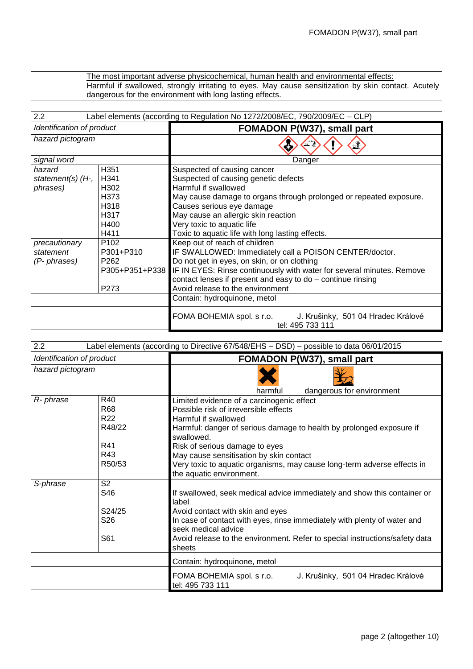The most important adverse physicochemical, human health and environmental effects: Harmful if swallowed, strongly irritating to eyes. May cause sensitization by skin contact. Acutely dangerous for the environment with long lasting effects.

| 2.2<br>Label elements (according to Regulation No 1272/2008/EC, 790/2009/EC – CLP) |                  |                                                                                     |  |  |
|------------------------------------------------------------------------------------|------------------|-------------------------------------------------------------------------------------|--|--|
| Identification of product                                                          |                  | FOMADON P(W37), small part                                                          |  |  |
| hazard pictogram                                                                   |                  | v.                                                                                  |  |  |
| signal word                                                                        |                  | Danger                                                                              |  |  |
| hazard                                                                             | H351             | Suspected of causing cancer                                                         |  |  |
| statement(s) $(H7)$                                                                | H341             | Suspected of causing genetic defects                                                |  |  |
| phrases)                                                                           | H302             | Harmful if swallowed                                                                |  |  |
|                                                                                    | H373             | May cause damage to organs through prolonged or repeated exposure.                  |  |  |
|                                                                                    | H318             | Causes serious eye damage                                                           |  |  |
| H317                                                                               |                  | May cause an allergic skin reaction                                                 |  |  |
| H400                                                                               |                  | Very toxic to aquatic life                                                          |  |  |
| H411                                                                               |                  | Toxic to aquatic life with long lasting effects.                                    |  |  |
| precautionary                                                                      | P <sub>102</sub> | Keep out of reach of children                                                       |  |  |
| statement                                                                          | P301+P310        | IF SWALLOWED: Immediately call a POISON CENTER/doctor.                              |  |  |
| (P- phrases)                                                                       | P <sub>262</sub> | Do not get in eyes, on skin, or on clothing                                         |  |  |
|                                                                                    | P305+P351+P338   | IF IN EYES: Rinse continuously with water for several minutes. Remove               |  |  |
|                                                                                    |                  | contact lenses if present and easy to do - continue rinsing                         |  |  |
| P273                                                                               |                  | Avoid release to the environment                                                    |  |  |
|                                                                                    |                  | Contain: hydroquinone, metol                                                        |  |  |
|                                                                                    |                  | FOMA BOHEMIA spol. s r.o.<br>J. Krušinky, 501 04 Hradec Králové<br>tel: 495 733 111 |  |  |

| 2.2                       | Label elements (according to Directive 67/548/EHS - DSD) - possible to data 06/01/2015 |                                                                                     |  |  |
|---------------------------|----------------------------------------------------------------------------------------|-------------------------------------------------------------------------------------|--|--|
| Identification of product |                                                                                        | FOMADON P(W37), small part                                                          |  |  |
| hazard pictogram          |                                                                                        |                                                                                     |  |  |
|                           |                                                                                        | dangerous for environment<br>harmful                                                |  |  |
| R- phrase                 | R40                                                                                    | Limited evidence of a carcinogenic effect                                           |  |  |
|                           | R68                                                                                    | Possible risk of irreversible effects                                               |  |  |
|                           | R22                                                                                    | Harmful if swallowed                                                                |  |  |
|                           | R48/22                                                                                 | Harmful: danger of serious damage to health by prolonged exposure if<br>swallowed.  |  |  |
|                           | R41                                                                                    | Risk of serious damage to eyes                                                      |  |  |
|                           | R43                                                                                    | May cause sensitisation by skin contact                                             |  |  |
|                           | R50/53                                                                                 | Very toxic to aquatic organisms, may cause long-term adverse effects in             |  |  |
|                           |                                                                                        | the aquatic environment.                                                            |  |  |
| S-phrase                  | S <sub>2</sub>                                                                         |                                                                                     |  |  |
|                           | S46                                                                                    | If swallowed, seek medical advice immediately and show this container or<br>label   |  |  |
|                           | S24/25                                                                                 | Avoid contact with skin and eyes                                                    |  |  |
|                           | S <sub>26</sub>                                                                        | In case of contact with eyes, rinse immediately with plenty of water and            |  |  |
|                           |                                                                                        | seek medical advice                                                                 |  |  |
|                           | S61                                                                                    | Avoid release to the environment. Refer to special instructions/safety data         |  |  |
|                           |                                                                                        | sheets                                                                              |  |  |
|                           |                                                                                        | Contain: hydroquinone, metol                                                        |  |  |
|                           |                                                                                        | FOMA BOHEMIA spol. s r.o.<br>J. Krušinky, 501 04 Hradec Králové<br>tel: 495 733 111 |  |  |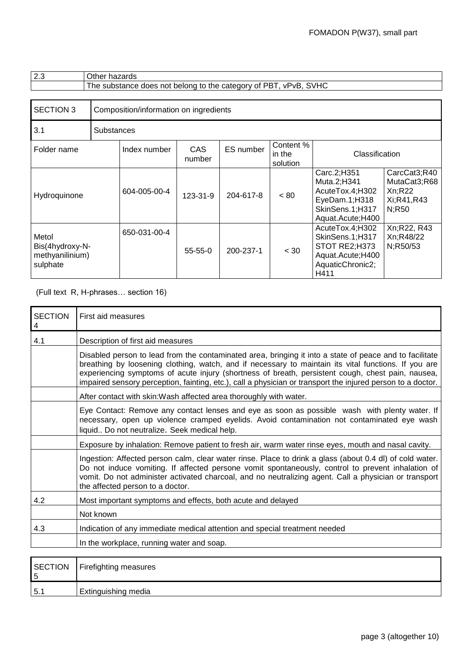| 2.3                                                     | Other hazards                                                    |                                        |                      |           |                                 |                                                                                                        |                                                                |
|---------------------------------------------------------|------------------------------------------------------------------|----------------------------------------|----------------------|-----------|---------------------------------|--------------------------------------------------------------------------------------------------------|----------------------------------------------------------------|
|                                                         | The substance does not belong to the category of PBT, vPvB, SVHC |                                        |                      |           |                                 |                                                                                                        |                                                                |
|                                                         |                                                                  |                                        |                      |           |                                 |                                                                                                        |                                                                |
| <b>SECTION 3</b>                                        |                                                                  | Composition/information on ingredients |                      |           |                                 |                                                                                                        |                                                                |
| 3.1                                                     | <b>Substances</b>                                                |                                        |                      |           |                                 |                                                                                                        |                                                                |
| Folder name                                             |                                                                  | Index number                           | <b>CAS</b><br>number | ES number | Content %<br>in the<br>solution | Classification                                                                                         |                                                                |
| Hydroquinone                                            |                                                                  | 604-005-00-4                           | $123 - 31 - 9$       | 204-617-8 | < 80                            | Carc.2;H351<br>Muta.2;H341<br>AcuteTox.4;H302<br>EyeDam.1;H318<br>SkinSens.1;H317<br>Aquat.Acute; H400 | CarcCat3;R40<br>MutaCat3;R68<br>Xn; R22<br>Xi;R41,R43<br>N;R50 |
| Metol<br>Bis(4hydroxy-N-<br>methyanilinium)<br>sulphate |                                                                  | 650-031-00-4                           | $55 - 55 - 0$        | 200-237-1 | < 30                            | AcuteTox.4;H302<br>SkinSens.1;H317<br>STOT RE2;H373<br>Aquat.Acute;H400<br>AquaticChronic2;<br>H411    | Xn;R22, R43<br>Xn;R48/22<br>N;R50/53                           |

## (Full text R, H-phrases… section 16)

| <b>SECTION</b><br>4 | First aid measures                                                                                                                                                                                                                                                                                                                                                                                                                  |
|---------------------|-------------------------------------------------------------------------------------------------------------------------------------------------------------------------------------------------------------------------------------------------------------------------------------------------------------------------------------------------------------------------------------------------------------------------------------|
| 4.1                 | Description of first aid measures                                                                                                                                                                                                                                                                                                                                                                                                   |
|                     | Disabled person to lead from the contaminated area, bringing it into a state of peace and to facilitate<br>breathing by loosening clothing, watch, and if necessary to maintain its vital functions. If you are<br>experiencing symptoms of acute injury (shortness of breath, persistent cough, chest pain, nausea,<br>impaired sensory perception, fainting, etc.), call a physician or transport the injured person to a doctor. |
|                     | After contact with skin: Wash affected area thoroughly with water.                                                                                                                                                                                                                                                                                                                                                                  |
|                     | Eye Contact: Remove any contact lenses and eye as soon as possible wash with plenty water. If<br>necessary, open up violence cramped eyelids. Avoid contamination not contaminated eye wash<br>liquid Do not neutralize. Seek medical help.                                                                                                                                                                                         |
|                     | Exposure by inhalation: Remove patient to fresh air, warm water rinse eyes, mouth and nasal cavity.                                                                                                                                                                                                                                                                                                                                 |
|                     | Ingestion: Affected person calm, clear water rinse. Place to drink a glass (about 0.4 dl) of cold water.<br>Do not induce vomiting. If affected persone vomit spontaneously, control to prevent inhalation of<br>vomit. Do not administer activated charcoal, and no neutralizing agent. Call a physician or transport<br>the affected person to a doctor.                                                                          |
| 4.2                 | Most important symptoms and effects, both acute and delayed                                                                                                                                                                                                                                                                                                                                                                         |
|                     | Not known                                                                                                                                                                                                                                                                                                                                                                                                                           |
| 4.3                 | Indication of any immediate medical attention and special treatment needed                                                                                                                                                                                                                                                                                                                                                          |
|                     | In the workplace, running water and soap.                                                                                                                                                                                                                                                                                                                                                                                           |
| <b>SECTION</b>      | Firefighting measures                                                                                                                                                                                                                                                                                                                                                                                                               |

|                    | $\sim$<br>-<br>---------                         |
|--------------------|--------------------------------------------------|
| -<br>. .<br>-<br>◡ | $\sim$ $\sim$ $\sim$ $\sim$ $\sim$ $\sim$ $\sim$ |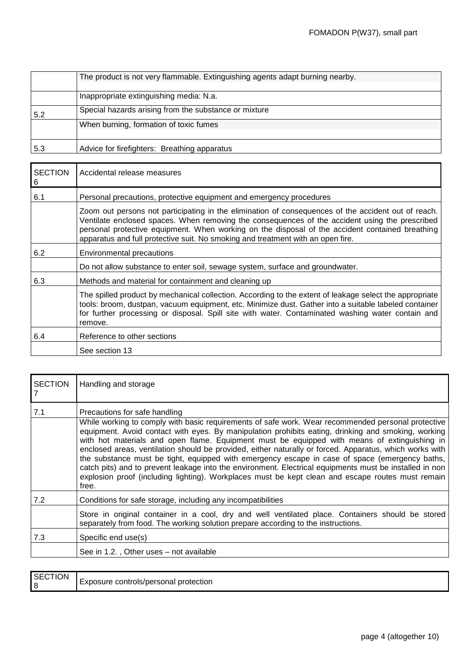|     | The product is not very flammable. Extinguishing agents adapt burning nearby. |
|-----|-------------------------------------------------------------------------------|
|     |                                                                               |
|     | Inappropriate extinguishing media: N.a.                                       |
| 5.2 | Special hazards arising from the substance or mixture                         |
|     | When burning, formation of toxic fumes                                        |
|     |                                                                               |
| 5.3 | Advice for firefighters: Breathing apparatus                                  |

| <b>SECTION</b><br>6 | Accidental release measures                                                                                                                                                                                                                                                                                                                                                                 |  |  |
|---------------------|---------------------------------------------------------------------------------------------------------------------------------------------------------------------------------------------------------------------------------------------------------------------------------------------------------------------------------------------------------------------------------------------|--|--|
| 6.1                 | Personal precautions, protective equipment and emergency procedures                                                                                                                                                                                                                                                                                                                         |  |  |
|                     | Zoom out persons not participating in the elimination of consequences of the accident out of reach.<br>Ventilate enclosed spaces. When removing the consequences of the accident using the prescribed<br>personal protective equipment. When working on the disposal of the accident contained breathing<br>apparatus and full protective suit. No smoking and treatment with an open fire. |  |  |
| 6.2                 | <b>Environmental precautions</b>                                                                                                                                                                                                                                                                                                                                                            |  |  |
|                     | Do not allow substance to enter soil, sewage system, surface and groundwater.                                                                                                                                                                                                                                                                                                               |  |  |
| 6.3                 | Methods and material for containment and cleaning up                                                                                                                                                                                                                                                                                                                                        |  |  |
|                     | The spilled product by mechanical collection. According to the extent of leakage select the appropriate<br>tools: broom, dustpan, vacuum equipment, etc. Minimize dust. Gather into a suitable labeled container<br>for further processing or disposal. Spill site with water. Contaminated washing water contain and<br>remove.                                                            |  |  |
| 6.4                 | Reference to other sections                                                                                                                                                                                                                                                                                                                                                                 |  |  |
|                     | See section 13                                                                                                                                                                                                                                                                                                                                                                              |  |  |

| <b>SECTION</b> | Handling and storage                                                                                                                                                                                                                                                                                                                                                                                                                                                                                                                                                                                                                                                                                                                                                             |
|----------------|----------------------------------------------------------------------------------------------------------------------------------------------------------------------------------------------------------------------------------------------------------------------------------------------------------------------------------------------------------------------------------------------------------------------------------------------------------------------------------------------------------------------------------------------------------------------------------------------------------------------------------------------------------------------------------------------------------------------------------------------------------------------------------|
| 7.1            | Precautions for safe handling<br>While working to comply with basic requirements of safe work. Wear recommended personal protective<br>equipment. Avoid contact with eyes. By manipulation prohibits eating, drinking and smoking, working<br>with hot materials and open flame. Equipment must be equipped with means of extinguishing in<br>enclosed areas, ventilation should be provided, either naturally or forced. Apparatus, which works with<br>the substance must be tight, equipped with emergency escape in case of space (emergency baths,<br>catch pits) and to prevent leakage into the environment. Electrical equipments must be installed in non<br>explosion proof (including lighting). Workplaces must be kept clean and escape routes must remain<br>free. |
| 7.2            | Conditions for safe storage, including any incompatibilities                                                                                                                                                                                                                                                                                                                                                                                                                                                                                                                                                                                                                                                                                                                     |
|                | Store in original container in a cool, dry and well ventilated place. Containers should be stored<br>separately from food. The working solution prepare according to the instructions.                                                                                                                                                                                                                                                                                                                                                                                                                                                                                                                                                                                           |
| 7.3            | Specific end use(s)                                                                                                                                                                                                                                                                                                                                                                                                                                                                                                                                                                                                                                                                                                                                                              |
|                | See in 1.2., Other uses – not available                                                                                                                                                                                                                                                                                                                                                                                                                                                                                                                                                                                                                                                                                                                                          |

| SECTION<br>$\overline{8}$ | l protection<br>controis/personal<br>×posure : |
|---------------------------|------------------------------------------------|
|---------------------------|------------------------------------------------|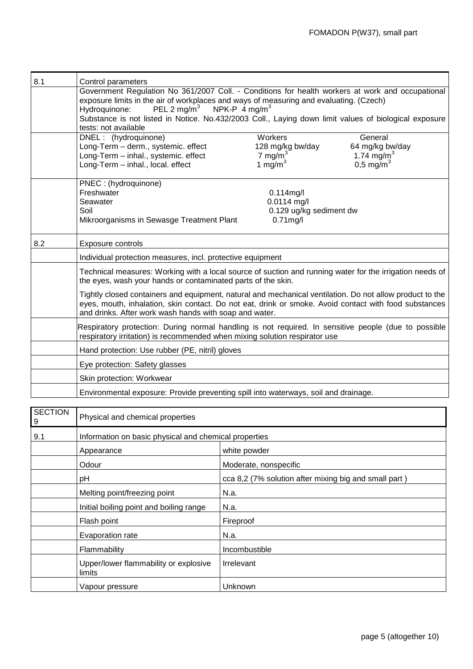| 8.1                 | Control parameters<br>Government Regulation No 361/2007 Coll. - Conditions for health workers at work and occupational<br>exposure limits in the air of workplaces and ways of measuring and evaluating. (Czech)<br>PEL 2 mg/m <sup>3</sup><br>NPK-P $4 \text{ mg/m}^3$     |                         |                        |  |
|---------------------|-----------------------------------------------------------------------------------------------------------------------------------------------------------------------------------------------------------------------------------------------------------------------------|-------------------------|------------------------|--|
|                     | Hydroquinone:<br>Substance is not listed in Notice. No.432/2003 Coll., Laying down limit values of biological exposure<br>tests: not available                                                                                                                              |                         |                        |  |
|                     | DNEL: (hydroquinone)                                                                                                                                                                                                                                                        | Workers                 | General                |  |
|                     | Long-Term - derm., systemic. effect                                                                                                                                                                                                                                         | 128 mg/kg bw/day        | 64 mg/kg bw/day        |  |
|                     | Long-Term - inhal., systemic. effect                                                                                                                                                                                                                                        | 7 mg/m $3$              | 1.74 mg/m <sup>3</sup> |  |
|                     | Long-Term - inhal., local. effect                                                                                                                                                                                                                                           | 1 mg/m $3$              | $0,5 \text{ mg/m}^3$   |  |
|                     | PNEC : (hydroquinone)                                                                                                                                                                                                                                                       |                         |                        |  |
|                     | Freshwater                                                                                                                                                                                                                                                                  | $0.114$ mg/l            |                        |  |
|                     | Seawater                                                                                                                                                                                                                                                                    | $0.0114$ mg/l           |                        |  |
|                     | Soil                                                                                                                                                                                                                                                                        | 0.129 ug/kg sediment dw |                        |  |
|                     | Mikroorganisms in Sewasge Treatment Plant                                                                                                                                                                                                                                   | $0.71$ mg/l             |                        |  |
| 8.2                 | Exposure controls                                                                                                                                                                                                                                                           |                         |                        |  |
|                     | Individual protection measures, incl. protective equipment                                                                                                                                                                                                                  |                         |                        |  |
|                     | Technical measures: Working with a local source of suction and running water for the irrigation needs of<br>the eyes, wash your hands or contaminated parts of the skin.                                                                                                    |                         |                        |  |
|                     | Tightly closed containers and equipment, natural and mechanical ventilation. Do not allow product to the<br>eyes, mouth, inhalation, skin contact. Do not eat, drink or smoke. Avoid contact with food substances<br>and drinks. After work wash hands with soap and water. |                         |                        |  |
|                     | Respiratory protection: During normal handling is not required. In sensitive people (due to possible<br>respiratory irritation) is recommended when mixing solution respirator use                                                                                          |                         |                        |  |
|                     | Hand protection: Use rubber (PE, nitril) gloves                                                                                                                                                                                                                             |                         |                        |  |
|                     | Eye protection: Safety glasses                                                                                                                                                                                                                                              |                         |                        |  |
|                     | Skin protection: Workwear                                                                                                                                                                                                                                                   |                         |                        |  |
|                     | Environmental exposure: Provide preventing spill into waterways, soil and drainage.                                                                                                                                                                                         |                         |                        |  |
| <b>SECTION</b><br>a | Physical and chemical properties                                                                                                                                                                                                                                            |                         |                        |  |

| 9   | Physical and chemical properties                      |                                                       |
|-----|-------------------------------------------------------|-------------------------------------------------------|
| 9.1 | Information on basic physical and chemical properties |                                                       |
|     | Appearance                                            | white powder                                          |
|     | Odour                                                 | Moderate, nonspecific                                 |
|     | рH                                                    | cca 8,2 (7% solution after mixing big and small part) |
|     | Melting point/freezing point                          | N.a.                                                  |
|     | Initial boiling point and boiling range               | N.a.                                                  |
|     | Flash point                                           | Fireproof                                             |
|     | Evaporation rate                                      | N.a.                                                  |
|     | Flammability                                          | Incombustible                                         |
|     | Upper/lower flammability or explosive<br>limits       | <b>Irrelevant</b>                                     |
|     | Vapour pressure                                       | Unknown                                               |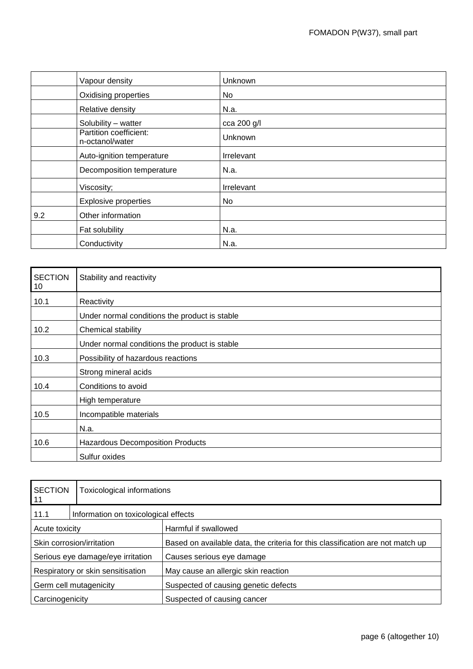|     | Vapour density                            | <b>Unknown</b> |
|-----|-------------------------------------------|----------------|
|     | Oxidising properties                      | No             |
|     | Relative density                          | N.a.           |
|     | Solubility - watter                       | cca 200 g/l    |
|     | Partition coefficient:<br>n-octanol/water | Unknown        |
|     | Auto-ignition temperature                 | Irrelevant     |
|     | Decomposition temperature                 | N.a.           |
|     | Viscosity;                                | Irrelevant     |
|     | <b>Explosive properties</b>               | No             |
| 9.2 | Other information                         |                |
|     | Fat solubility                            | N.a.           |
|     | Conductivity                              | N.a.           |

| <b>SECTION</b><br>10 | Stability and reactivity                      |  |
|----------------------|-----------------------------------------------|--|
| 10.1                 | Reactivity                                    |  |
|                      | Under normal conditions the product is stable |  |
| 10.2                 | Chemical stability                            |  |
|                      | Under normal conditions the product is stable |  |
| 10.3                 | Possibility of hazardous reactions            |  |
|                      | Strong mineral acids                          |  |
| 10.4                 | Conditions to avoid                           |  |
|                      | High temperature                              |  |
| 10.5                 | Incompatible materials                        |  |
|                      | N.a.                                          |  |
| 10.6                 | <b>Hazardous Decomposition Products</b>       |  |
|                      | Sulfur oxides                                 |  |

| <b>SECTION</b><br> 11             | Toxicological informations           |                                                                                |
|-----------------------------------|--------------------------------------|--------------------------------------------------------------------------------|
| 11.1                              | Information on toxicological effects |                                                                                |
| Acute toxicity                    |                                      | Harmful if swallowed                                                           |
| Skin corrosion/irritation         |                                      | Based on available data, the criteria for this classification are not match up |
| Serious eye damage/eye irritation |                                      | Causes serious eye damage                                                      |
| Respiratory or skin sensitisation |                                      | May cause an allergic skin reaction                                            |
| Germ cell mutagenicity            |                                      | Suspected of causing genetic defects                                           |
| Carcinogenicity                   |                                      | Suspected of causing cancer                                                    |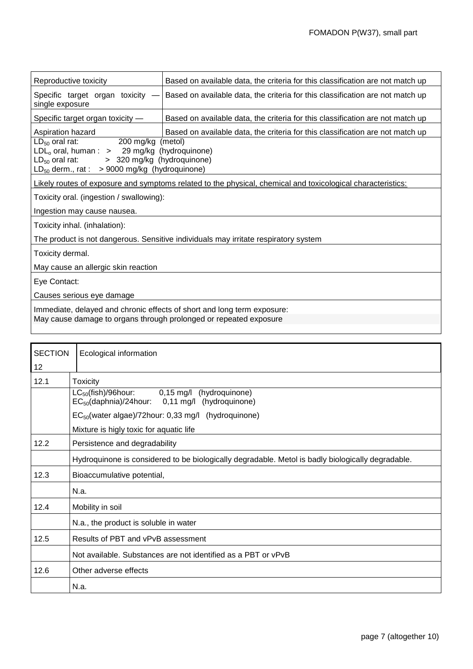| Reproductive toxicity                                                                                                                                                                                                                                  | Based on available data, the criteria for this classification are not match up |  |
|--------------------------------------------------------------------------------------------------------------------------------------------------------------------------------------------------------------------------------------------------------|--------------------------------------------------------------------------------|--|
| Specific target organ toxicity -<br>single exposure                                                                                                                                                                                                    | Based on available data, the criteria for this classification are not match up |  |
| Specific target organ toxicity -                                                                                                                                                                                                                       | Based on available data, the criteria for this classification are not match up |  |
| Based on available data, the criteria for this classification are not match up<br>Aspiration hazard<br>200 mg/kg (metol)<br>$LD_{50}$ oral rat:<br>$LDLo$ oral, human : > 29 mg/kg (hydroquinone)<br>> 320 mg/kg (hydroquinone)<br>$LD_{50}$ oral rat: |                                                                                |  |
| $LD_{50}$ derm., rat : > 9000 mg/kg (hydroquinone)<br>Likely routes of exposure and symptoms related to the physical, chemical and toxicological characteristics:                                                                                      |                                                                                |  |
| Toxicity oral. (ingestion / swallowing):                                                                                                                                                                                                               |                                                                                |  |
| Ingestion may cause nausea.                                                                                                                                                                                                                            |                                                                                |  |
| Toxicity inhal. (inhalation):                                                                                                                                                                                                                          |                                                                                |  |
| The product is not dangerous. Sensitive individuals may irritate respiratory system                                                                                                                                                                    |                                                                                |  |
| Toxicity dermal.                                                                                                                                                                                                                                       |                                                                                |  |
| May cause an allergic skin reaction                                                                                                                                                                                                                    |                                                                                |  |
| Eye Contact:                                                                                                                                                                                                                                           |                                                                                |  |
| Causes serious eye damage                                                                                                                                                                                                                              |                                                                                |  |
| Immediate, delayed and chronic effects of short and long term exposure:<br>May cause damage to organs through prolonged or repeated exposure                                                                                                           |                                                                                |  |

| <b>SECTION</b> | Ecological information                                                                                       |  |
|----------------|--------------------------------------------------------------------------------------------------------------|--|
| 12             |                                                                                                              |  |
| 12.1           | <b>Toxicity</b>                                                                                              |  |
|                | $LC_{50}$ (fish)/96hour:<br>0,15 mg/l (hydroquinone)<br>$EC_{50}$ (daphnia)/24hour: 0,11 mg/l (hydroquinone) |  |
|                | $EC_{50}$ (water algae)/72hour: 0,33 mg/l (hydroquinone)                                                     |  |
|                | Mixture is higly toxic for aquatic life                                                                      |  |
| 12.2           | Persistence and degradability                                                                                |  |
|                | Hydroquinone is considered to be biologically degradable. Metol is badly biologically degradable.            |  |
| 12.3           | Bioaccumulative potential,                                                                                   |  |
|                | N.a.                                                                                                         |  |
| 12.4           | Mobility in soil                                                                                             |  |
|                | N.a., the product is soluble in water                                                                        |  |
| 12.5           | Results of PBT and vPvB assessment                                                                           |  |
|                | Not available. Substances are not identified as a PBT or vPvB                                                |  |
| 12.6           | Other adverse effects                                                                                        |  |
|                | N.a.                                                                                                         |  |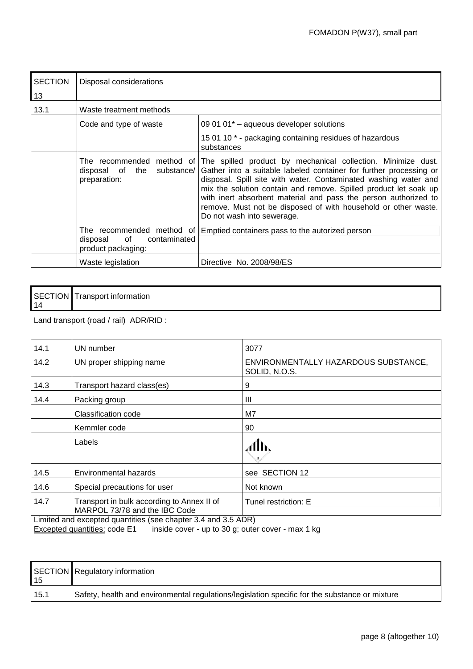| <b>SECTION</b> | Disposal considerations                                                           |                                                                                                                                                                                                                                                                                                                                                                                                                                              |  |
|----------------|-----------------------------------------------------------------------------------|----------------------------------------------------------------------------------------------------------------------------------------------------------------------------------------------------------------------------------------------------------------------------------------------------------------------------------------------------------------------------------------------------------------------------------------------|--|
| 13             |                                                                                   |                                                                                                                                                                                                                                                                                                                                                                                                                                              |  |
| 13.1           | Waste treatment methods                                                           |                                                                                                                                                                                                                                                                                                                                                                                                                                              |  |
|                | Code and type of waste                                                            | 09 01 01 <sup>*</sup> - aqueous developer solutions                                                                                                                                                                                                                                                                                                                                                                                          |  |
|                |                                                                                   | 15 01 10 * - packaging containing residues of hazardous<br>substances                                                                                                                                                                                                                                                                                                                                                                        |  |
|                | The recommended<br>method of<br>disposal of the<br>substance/<br>preparation:     | The spilled product by mechanical collection. Minimize dust.<br>Gather into a suitable labeled container for further processing or<br>disposal. Spill site with water. Contaminated washing water and<br>mix the solution contain and remove. Spilled product let soak up<br>with inert absorbent material and pass the person authorized to<br>remove. Must not be disposed of with household or other waste.<br>Do not wash into sewerage. |  |
|                | The recommended method of<br>of<br>disposal<br>contaminated<br>product packaging: | Emptied containers pass to the autorized person                                                                                                                                                                                                                                                                                                                                                                                              |  |
|                | Waste legislation                                                                 | Directive No. 2008/98/ES                                                                                                                                                                                                                                                                                                                                                                                                                     |  |

| ωN<br>SECT<br>Transport information<br>'IC<br>  14 |
|----------------------------------------------------|
|----------------------------------------------------|

Land transport (road / rail) ADR/RID :

| 14.1 | UN number                                                                   | 3077                                                  |
|------|-----------------------------------------------------------------------------|-------------------------------------------------------|
| 14.2 | UN proper shipping name                                                     | ENVIRONMENTALLY HAZARDOUS SUBSTANCE,<br>SOLID, N.O.S. |
| 14.3 | Transport hazard class(es)                                                  | 9                                                     |
| 14.4 | Packing group                                                               | Ш                                                     |
|      | Classification code                                                         | M7                                                    |
|      | Kemmler code                                                                | 90                                                    |
|      | Labels                                                                      | alb.                                                  |
| 14.5 | Environmental hazards                                                       | see SECTION 12                                        |
| 14.6 | Special precautions for user                                                | Not known                                             |
| 14.7 | Transport in bulk according to Annex II of<br>MARPOL 73/78 and the IBC Code | Tunel restriction: E                                  |

Limited and excepted quantities (see chapter 3.4 and 3.5 ADR)

Excepted quantities: code E1 inside cover - up to 30 g; outer cover - max 1 kg

| 15   | SECTION Regulatory information                                                                 |
|------|------------------------------------------------------------------------------------------------|
| 15.1 | Safety, health and environmental regulations/legislation specific for the substance or mixture |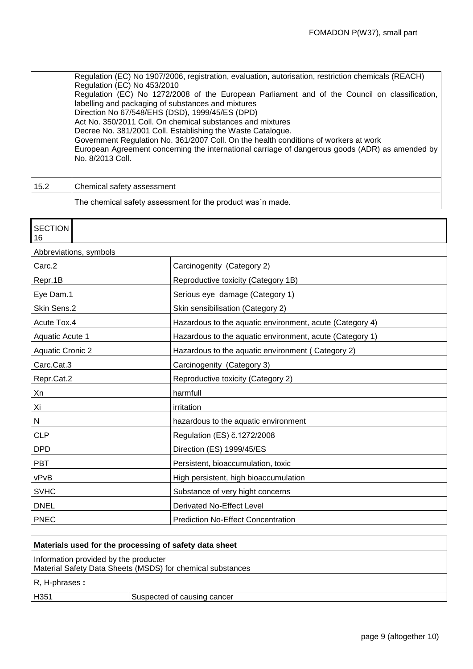|      | Regulation (EC) No 1907/2006, registration, evaluation, autorisation, restriction chemicals (REACH)<br>Regulation (EC) No 453/2010<br>Regulation (EC) No 1272/2008 of the European Parliament and of the Council on classification,<br>labelling and packaging of substances and mixtures<br>Direction No 67/548/EHS (DSD), 1999/45/ES (DPD)<br>Act No. 350/2011 Coll. On chemical substances and mixtures<br>Decree No. 381/2001 Coll. Establishing the Waste Catalogue.<br>Government Regulation No. 361/2007 Coll. On the health conditions of workers at work<br>European Agreement concerning the international carriage of dangerous goods (ADR) as amended by<br>No. 8/2013 Coll. |
|------|------------------------------------------------------------------------------------------------------------------------------------------------------------------------------------------------------------------------------------------------------------------------------------------------------------------------------------------------------------------------------------------------------------------------------------------------------------------------------------------------------------------------------------------------------------------------------------------------------------------------------------------------------------------------------------------|
| 15.2 | Chemical safety assessment                                                                                                                                                                                                                                                                                                                                                                                                                                                                                                                                                                                                                                                               |
|      | The chemical safety assessment for the product was 'n made.                                                                                                                                                                                                                                                                                                                                                                                                                                                                                                                                                                                                                              |

| <b>SECTION</b><br>16    |                                                          |  |
|-------------------------|----------------------------------------------------------|--|
| Abbreviations, symbols  |                                                          |  |
| Carc.2                  | Carcinogenity (Category 2)                               |  |
| Repr.1B                 | Reproductive toxicity (Category 1B)                      |  |
| Eye Dam.1               | Serious eye damage (Category 1)                          |  |
| Skin Sens.2             | Skin sensibilisation (Category 2)                        |  |
| Acute Tox.4             | Hazardous to the aquatic environment, acute (Category 4) |  |
| Aquatic Acute 1         | Hazardous to the aquatic environment, acute (Category 1) |  |
| <b>Aquatic Cronic 2</b> | Hazardous to the aquatic environment (Category 2)        |  |
| Carc.Cat.3              | Carcinogenity (Category 3)                               |  |
| Repr.Cat.2              | Reproductive toxicity (Category 2)                       |  |
| Xn                      | harmfull                                                 |  |
| Xi                      | irritation                                               |  |
| N                       | hazardous to the aquatic environment                     |  |
| <b>CLP</b>              | Regulation (ES) č.1272/2008                              |  |
| <b>DPD</b>              | Direction (ES) 1999/45/ES                                |  |
| <b>PBT</b>              | Persistent, bioaccumulation, toxic                       |  |
| vPvB                    | High persistent, high bioaccumulation                    |  |
| <b>SVHC</b>             | Substance of very hight concerns                         |  |
| <b>DNEL</b>             | <b>Derivated No-Effect Level</b>                         |  |
| <b>PNEC</b>             | <b>Prediction No-Effect Concentration</b>                |  |

| Materials used for the processing of safety data sheet                                              |                             |
|-----------------------------------------------------------------------------------------------------|-----------------------------|
| Information provided by the producter<br>Material Safety Data Sheets (MSDS) for chemical substances |                             |
| $R, H$ -phrases:                                                                                    |                             |
| H351                                                                                                | Suspected of causing cancer |